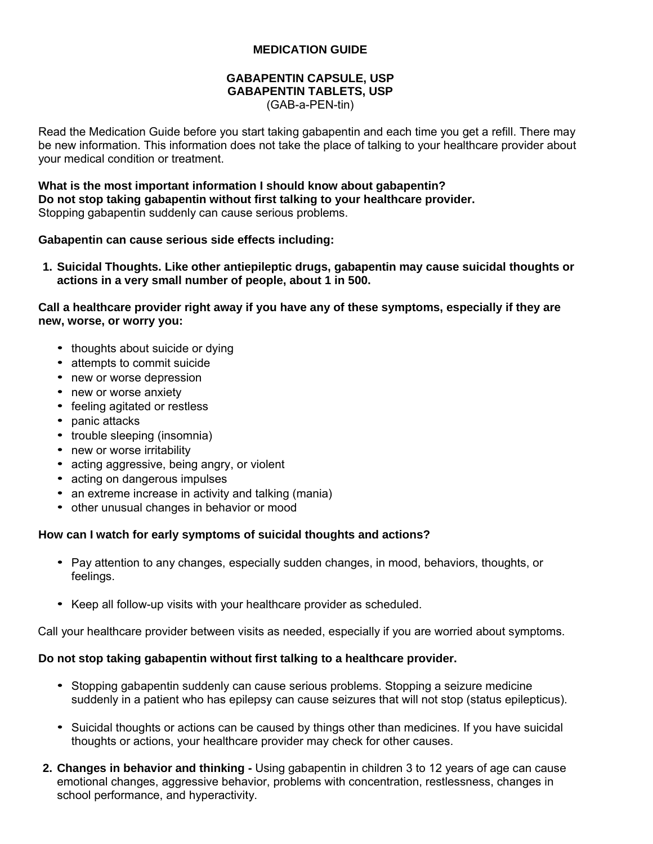# **MEDICATION GUIDE**

#### **GABAPENTIN CAPSULE, USP GABAPENTIN TABLETS, USP**  (GAB-a-PEN-tin)

Read the Medication Guide before you start taking gabapentin and each time you get a refill. There may be new information. This information does not take the place of talking to your healthcare provider about your medical condition or treatment.

**What is the most important information I should know about gabapentin? Do not stop taking gabapentin without first talking to your healthcare provider.** Stopping gabapentin suddenly can cause serious problems.

### **Gabapentin can cause serious side effects including:**

**1. Suicidal Thoughts. Like other antiepileptic drugs, gabapentin may cause suicidal thoughts or actions in a very small number of people, about 1 in 500.**

### **Call a healthcare provider right away if you have any of these symptoms, especially if they are new, worse, or worry you:**

- thoughts about suicide or dying
- attempts to commit suicide
- new or worse depression
- new or worse anxiety
- feeling agitated or restless
- panic attacks
- trouble sleeping (insomnia)
- new or worse irritability
- acting aggressive, being angry, or violent
- acting on dangerous impulses
- an extreme increase in activity and talking (mania)
- other unusual changes in behavior or mood

## **How can I watch for early symptoms of suicidal thoughts and actions?**

- Pay attention to any changes, especially sudden changes, in mood, behaviors, thoughts, or feelings.
- Keep all follow-up visits with your healthcare provider as scheduled.

Call your healthcare provider between visits as needed, especially if you are worried about symptoms.

#### **Do not stop taking gabapentin without first talking to a healthcare provider.**

- Stopping gabapentin suddenly can cause serious problems. Stopping a seizure medicine suddenly in a patient who has epilepsy can cause seizures that will not stop (status epilepticus).
- Suicidal thoughts or actions can be caused by things other than medicines. If you have suicidal thoughts or actions, your healthcare provider may check for other causes.
- **2. Changes in behavior and thinking** Using gabapentin in children 3 to 12 years of age can cause emotional changes, aggressive behavior, problems with concentration, restlessness, changes in school performance, and hyperactivity.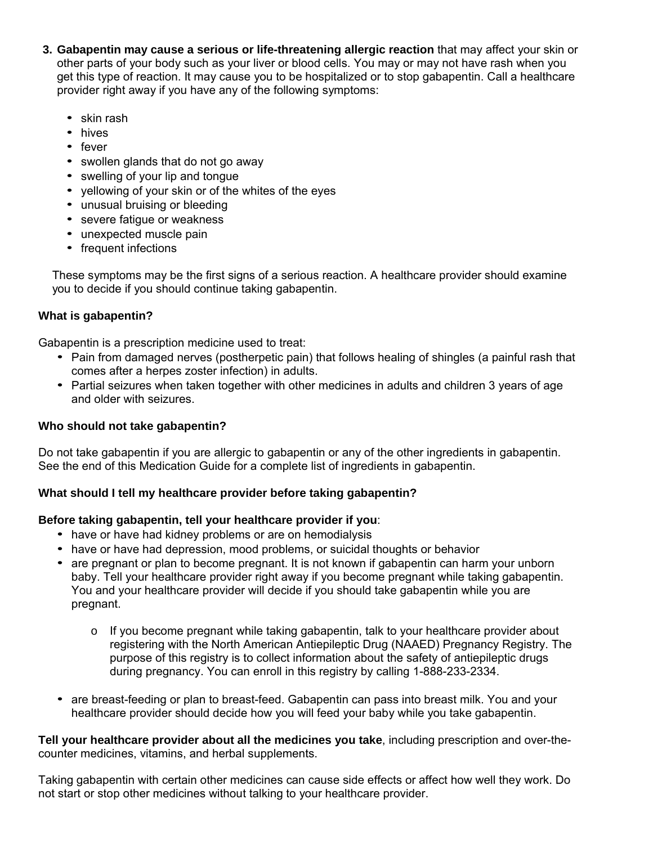- **3. Gabapentin may cause a serious or life-threatening allergic reaction** that may affect your skin or other parts of your body such as your liver or blood cells. You may or may not have rash when you get this type of reaction. It may cause you to be hospitalized or to stop gabapentin. Call a healthcare provider right away if you have any of the following symptoms:
	- skin rash
	- hives
	- fever
	- swollen glands that do not go away
	- swelling of your lip and tongue
	- yellowing of your skin or of the whites of the eyes
	- unusual bruising or bleeding
	- severe fatigue or weakness
	- unexpected muscle pain
	- frequent infections

These symptoms may be the first signs of a serious reaction. A healthcare provider should examine you to decide if you should continue taking gabapentin.

# **What is gabapentin?**

Gabapentin is a prescription medicine used to treat:

- Pain from damaged nerves (postherpetic pain) that follows healing of shingles (a painful rash that comes after a herpes zoster infection) in adults.
- Partial seizures when taken together with other medicines in adults and children 3 years of age and older with seizures.

# **Who should not take gabapentin?**

Do not take gabapentin if you are allergic to gabapentin or any of the other ingredients in gabapentin. See the end of this Medication Guide for a complete list of ingredients in gabapentin.

# **What should I tell my healthcare provider before taking gabapentin?**

# **Before taking gabapentin, tell your healthcare provider if you**:

- have or have had kidney problems or are on hemodialysis
- have or have had depression, mood problems, or suicidal thoughts or behavior
- are pregnant or plan to become pregnant. It is not known if gabapentin can harm your unborn baby. Tell your healthcare provider right away if you become pregnant while taking gabapentin. You and your healthcare provider will decide if you should take gabapentin while you are pregnant.
	- $\circ$  If you become pregnant while taking gabapentin, talk to your healthcare provider about registering with the North American Antiepileptic Drug (NAAED) Pregnancy Registry. The purpose of this registry is to collect information about the safety of antiepileptic drugs during pregnancy. You can enroll in this registry by calling 1-888-233-2334.
- are breast-feeding or plan to breast-feed. Gabapentin can pass into breast milk. You and your healthcare provider should decide how you will feed your baby while you take gabapentin.

**Tell your healthcare provider about all the medicines you take**, including prescription and over-thecounter medicines, vitamins, and herbal supplements.

Taking gabapentin with certain other medicines can cause side effects or affect how well they work. Do not start or stop other medicines without talking to your healthcare provider.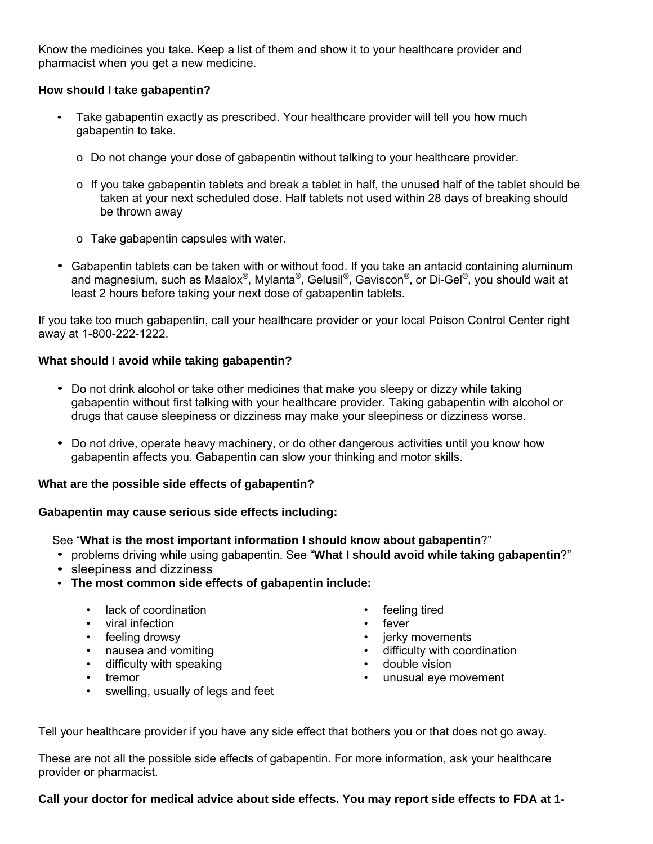Know the medicines you take. Keep a list of them and show it to your healthcare provider and pharmacist when you get a new medicine.

## **How should I take gabapentin?**

- Take gabapentin exactly as prescribed. Your healthcare provider will tell you how much gabapentin to take.
	- $\circ$  Do not change your dose of gabapentin without talking to your healthcare provider.
	- $\circ$  If you take gabapentin tablets and break a tablet in half, the unused half of the tablet should be taken at your next scheduled dose. Half tablets not used within 28 days of breaking should be thrown away
	- o Take gabapentin capsules with water.
- Gabapentin tablets can be taken with or without food. If you take an antacid containing aluminum and magnesium, such as Maalox®, Mylanta®, Gelusil®, Gaviscon®, or Di-Gel®, you should wait at least 2 hours before taking your next dose of gabapentin tablets.

If you take too much gabapentin, call your healthcare provider or your local Poison Control Center right away at 1-800-222-1222.

# **What should I avoid while taking gabapentin?**

- Do not drink alcohol or take other medicines that make you sleepy or dizzy while taking gabapentin without first talking with your healthcare provider. Taking gabapentin with alcohol or drugs that cause sleepiness or dizziness may make your sleepiness or dizziness worse.
- Do not drive, operate heavy machinery, or do other dangerous activities until you know how gabapentin affects you. Gabapentin can slow your thinking and motor skills.

## **What are the possible side effects of gabapentin?**

## **Gabapentin may cause serious side effects including:**

## See "**What is the most important information I should know about gabapentin**?"

- problems driving while using gabapentin. See "**What I should avoid while taking gabapentin**?"
- sleepiness and dizziness
- **The most common side effects of gabapentin include:** 
	- lack of coordination
	- viral infection
	- feeling drowsy
	- nausea and vomiting
	- difficulty with speaking
	- tremor
	- swelling, usually of legs and feet
- feeling tired
- fever<br>• ierky
- jerky movements
- difficulty with coordination
- double vision
- unusual eye movement

Tell your healthcare provider if you have any side effect that bothers you or that does not go away.

These are not all the possible side effects of gabapentin. For more information, ask your healthcare provider or pharmacist.

## **Call your doctor for medical advice about side effects. You may report side effects to FDA at 1-**